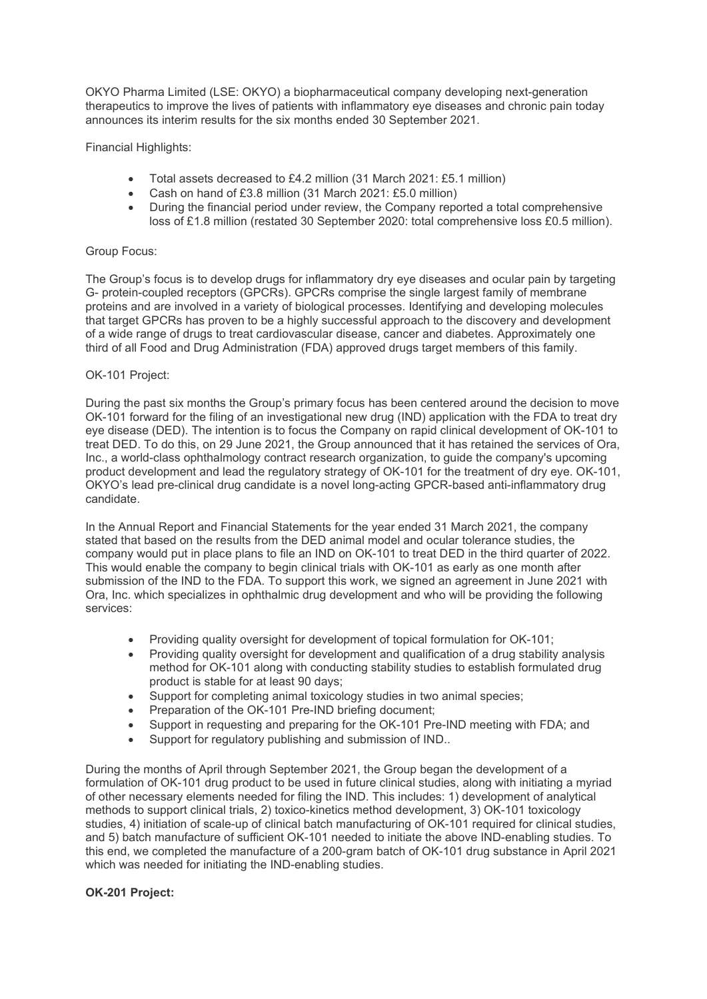OKYO Pharma Limited (LSE: OKYO) a biopharmaceutical company developing next-generation therapeutics to improve the lives of patients with inflammatory eye diseases and chronic pain today announces its interim results for the six months ended 30 September 2021.

Financial Highlights:

- Total assets decreased to £4.2 million (31 March 2021: £5.1 million)
- Cash on hand of £3.8 million (31 March 2021: £5.0 million)
- During the financial period under review, the Company reported a total comprehensive loss of £1.8 million (restated 30 September 2020: total comprehensive loss £0.5 million).

## Group Focus:

The Group's focus is to develop drugs for inflammatory dry eye diseases and ocular pain by targeting G- protein-coupled receptors (GPCRs). GPCRs comprise the single largest family of membrane proteins and are involved in a variety of biological processes. Identifying and developing molecules that target GPCRs has proven to be a highly successful approach to the discovery and development of a wide range of drugs to treat cardiovascular disease, cancer and diabetes. Approximately one third of all Food and Drug Administration (FDA) approved drugs target members of this family.

## OK-101 Project:

During the past six months the Group's primary focus has been centered around the decision to move OK-101 forward for the filing of an investigational new drug (IND) application with the FDA to treat dry eye disease (DED). The intention is to focus the Company on rapid clinical development of OK-101 to treat DED. To do this, on 29 June 2021, the Group announced that it has retained the services of Ora, Inc., a world-class ophthalmology contract research organization, to guide the company's upcoming product development and lead the regulatory strategy of OK-101 for the treatment of dry eye. OK-101, OKYO's lead pre-clinical drug candidate is a novel long-acting GPCR-based anti-inflammatory drug candidate.

In the Annual Report and Financial Statements for the year ended 31 March 2021, the company stated that based on the results from the DED animal model and ocular tolerance studies, the company would put in place plans to file an IND on OK-101 to treat DED in the third quarter of 2022. This would enable the company to begin clinical trials with OK-101 as early as one month after submission of the IND to the FDA. To support this work, we signed an agreement in June 2021 with Ora, Inc. which specializes in ophthalmic drug development and who will be providing the following services:

- Providing quality oversight for development of topical formulation for OK-101;
- Providing quality oversight for development and qualification of a drug stability analysis method for OK-101 along with conducting stability studies to establish formulated drug product is stable for at least 90 days;
- Support for completing animal toxicology studies in two animal species:
- Preparation of the OK-101 Pre-IND briefing document:
- Support in requesting and preparing for the OK-101 Pre-IND meeting with FDA; and
- Support for regulatory publishing and submission of IND..

During the months of April through September 2021, the Group began the development of a formulation of OK-101 drug product to be used in future clinical studies, along with initiating a myriad of other necessary elements needed for filing the IND. This includes: 1) development of analytical methods to support clinical trials, 2) toxico-kinetics method development, 3) OK-101 toxicology studies, 4) initiation of scale-up of clinical batch manufacturing of OK-101 required for clinical studies, and 5) batch manufacture of sufficient OK-101 needed to initiate the above IND-enabling studies. To this end, we completed the manufacture of a 200-gram batch of OK-101 drug substance in April 2021 which was needed for initiating the IND-enabling studies.

## **OK-201 Project:**